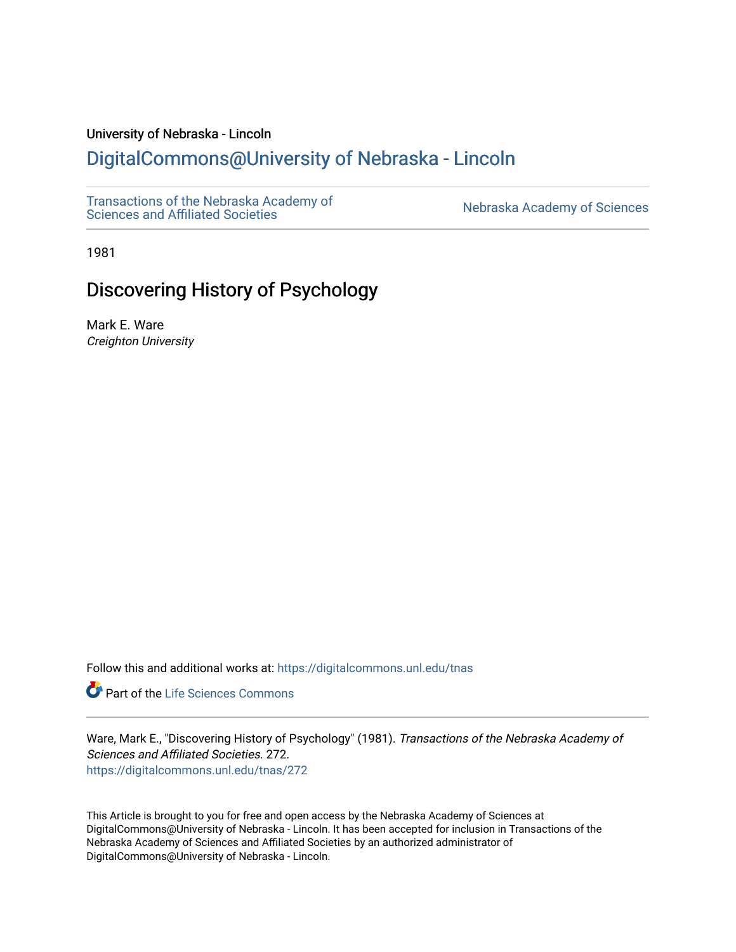## University of Nebraska - Lincoln

# [DigitalCommons@University of Nebraska - Lincoln](https://digitalcommons.unl.edu/)

[Transactions of the Nebraska Academy of](https://digitalcommons.unl.edu/tnas)  Transactions of the Nebraska Academy of Sciences<br>Sciences and Affiliated Societies

1981

# Discovering History of Psychology

Mark E. Ware Creighton University

Follow this and additional works at: [https://digitalcommons.unl.edu/tnas](https://digitalcommons.unl.edu/tnas?utm_source=digitalcommons.unl.edu%2Ftnas%2F272&utm_medium=PDF&utm_campaign=PDFCoverPages) 

Part of the [Life Sciences Commons](http://network.bepress.com/hgg/discipline/1016?utm_source=digitalcommons.unl.edu%2Ftnas%2F272&utm_medium=PDF&utm_campaign=PDFCoverPages) 

Ware, Mark E., "Discovering History of Psychology" (1981). Transactions of the Nebraska Academy of Sciences and Affiliated Societies. 272. [https://digitalcommons.unl.edu/tnas/272](https://digitalcommons.unl.edu/tnas/272?utm_source=digitalcommons.unl.edu%2Ftnas%2F272&utm_medium=PDF&utm_campaign=PDFCoverPages) 

This Article is brought to you for free and open access by the Nebraska Academy of Sciences at DigitalCommons@University of Nebraska - Lincoln. It has been accepted for inclusion in Transactions of the Nebraska Academy of Sciences and Affiliated Societies by an authorized administrator of DigitalCommons@University of Nebraska - Lincoln.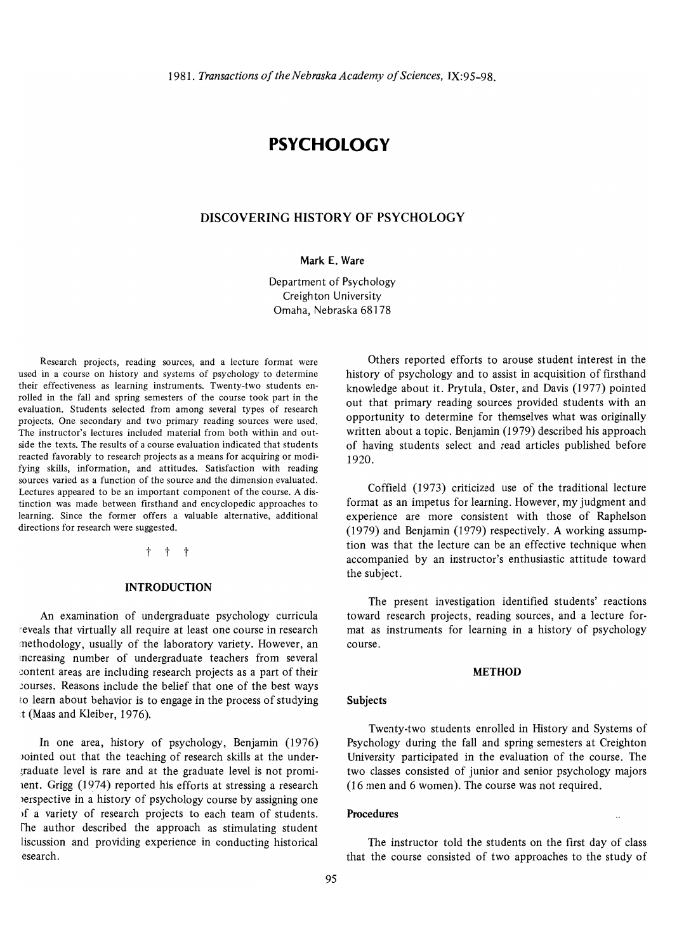# **PSYCHOLOGY**

### **DISCOVERING HISTORY OF PSYCHOLOGY**

#### **Mark E. Ware**

Department of Psychology Creighton University Omaha, Nebraska 68178

Research projects, reading sources, and a lecture format were used in a course on history and systems of psychology to determine their effectiveness as learning instruments. Twenty-two students enrolled in the fall and spring semesters of the course took part in the evaluation. Students selected from among several types of research projects. One secondary and two primary reading sources were used. The instructor's lectures included material from both within and out· side the texts. The results of a course evaluation indicated that students reacted favorably to research projects as a means for acquiring or modifying skills, information, and attitudes. Satisfaction with reading sources varied as a function of the source and the dimension evaluated. Lectures appeared to be an important component of the course. A distinction was made between firsthand and encyclopedic approaches to learning. Since the former offers a valuable alternative, additional directions for research were suggested.

 $+ + +$ 

#### **INTRODUCTION**

An examination of undergraduate psychology curricula reveals that virtually all require at least one course in research methodology, usually of the laboratory variety. However, an increasing number of undergraduate teachers from several content areas are including research projects as a part of their courses. Reasons include the belief that one of the best ways to learn about behavior is to engage in the process of studying it (Maas and Kleiber, 1976).

**In** one area, history of psychology, Benjamin (1976) Jointed out that the teaching of research skills at the under- ~raduate level is rare and at the graduate level is not promilent. Grigg (1974) reported his efforts at stressing a research Jerspective in a history of psychology course by assigning one )f a variety of research projects to each team of students. The author described the approach as stimulating student liscussion and providing experience in conducting historical esearch.

Others reported efforts to arouse student interest in the history of psychology and to assist in acquisition of firsthand knowledge about it. Prytula, Oster, and Davis (1977) pointed out that primary reading sources provided students with an opportunity to determine for themselves what was originally written about a topic. Benjamin (1979) described his approach of having students select and read articles published before 1920.

Coffield (1973) criticized use of the traditional lecture format as an impetus for learning. However, my judgment and experience are more consistent with those of Raphelson (1979) and Benjamin (1979) respectively. A working assumption was that the lecture can be an effective technique when accompanied by an instructor's enthusiastic attitude toward the subject.

The present investigation identified students' reactions toward research projects, reading sources, and a lecture format as instruments for learning in a history of psychology course.

#### **METHOD**

#### **Subjects**

Twenty-two students enrolled in History and Systems of Psychology during the fall and spring semesters at Creighton University participated in the evaluation of the course. The two classes consisted of junior and senior psychology majors (16 men and 6 women). The course was not required.

#### **Procedures**

The instructor told the students on the first day of class that the course consisted of two approaches to the study of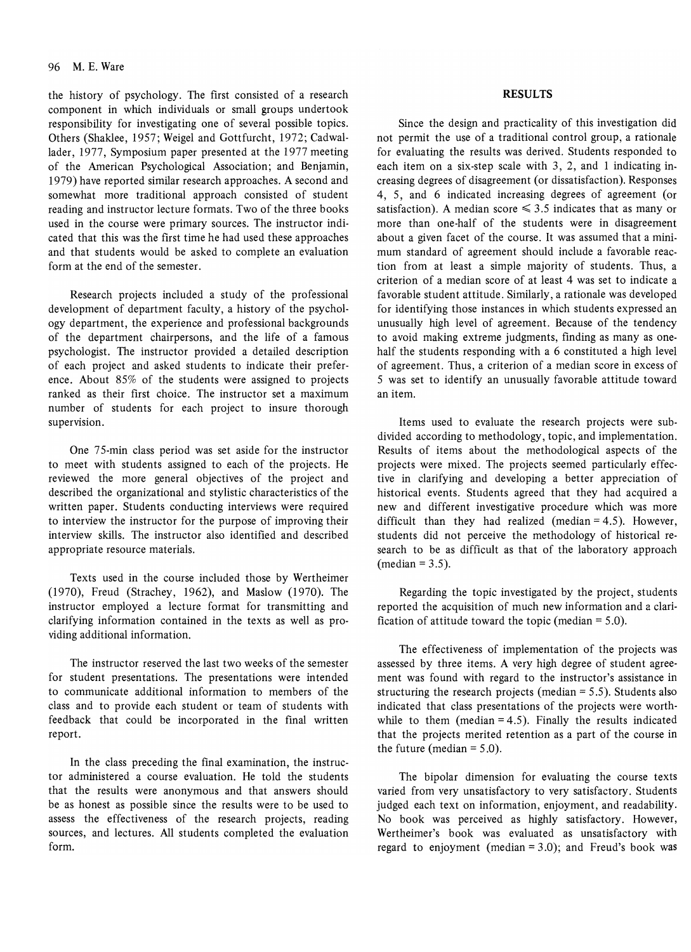the history of psychology. The first consisted of a research component in which individuals or small groups undertook responsibility for investigating one of several possible topics. Others (Shaklee, 1957; Weigel and Gottfurcht, 1972; Cadwallader, 1977, Symposium paper presented at the 1977 meeting of the American Psychological Association; and Benjamin, 1979) have reported similar research approaches. A second and somewhat more traditional approach consisted of student reading and instructor lecture formats. Two of the three books used in the course were primary sources. The instructor indicated that this was the first time he had used these approaches and that students would be asked to complete an evaluation form at the end of the semester.

Research projects included a study of the professional development of department faculty, a history of the psychology department, the experience and professional backgrounds of the department chairpersons, and the life of a famous psychologist. The instructor provided a detailed description of each project and asked students to indicate their preference. About 85% of the students were assigned to projects ranked as their first choice. The instructor set a maximum number of students for each project to insure thorough supervision.

One 75-min class period was set aside for the instructor to meet with students assigned to each of the projects. He reviewed the more general objectives of the project and described the organizational and stylistic characteristics of the written paper. Students conducting interviews were required to interview the instructor for the purpose of improving their interview skills. The instructor also identified and described appropriate resource materials.

Texts used in the course included those by Wertheimer (1970), Freud (Strachey, 1962), and Maslow (1970). The instructor employed a lecture format for transmitting and clarifying information contained in the texts as well as providing additional information.

The instructor reserved the last two weeks of the semester for student presentations. The presentations were intended to communicate additional information to members of the class and to provide each student or team of students with feedback that could be incorporated in the final written report.

In the class preceding the final examination, the instructor administered a course evaluation. He told the students that the results were anonymous and that answers should be as honest as possible since the results were to be used to assess the effectiveness of the research projects, reading sources, and lectures. All students completed the evaluation form.

#### **RESULTS**

Since the design and practicality of this investigation did not permit the use of a traditional control group, a rationale for evaluating the results was derived. Students responded to each item on a six-step scale with 3, 2, and 1 indicating increasing degrees of disagreement (or dissatisfaction). Responses 4, 5, and 6 indicated increasing degrees of agreement (or satisfaction). A median score  $\leq 3.5$  indicates that as many or more than one-half of the students were in disagreement about a given facet of the course. It was assumed that a minimum standard of agreement should include a favorable reaction from at least a simple majority of students. Thus, a criterion of a median score of at least 4 was set to indicate a favorable student attitude. Similarly, a rationale was developed for identifying those instances in which students expressed an unusually high level of agreement. Because of the tendency to avoid making extreme judgments, finding as many as onehalf the students responding with a 6 constituted a high level of agreement. Thus, a criterion of a median score in excess of 5 was set to identify an unusually favorable attitude toward an item.

Items used to evaluate the research projects were subdivided according to methodology, topic, and implementation. Results of items about the methodological aspects of the projects were mixed. The projects seemed particularly effective in clarifying and developing a better appreciation of historical events. Students agreed that they had acquired a new and different investigative procedure which was more difficult than they had realized (median  $= 4.5$ ). However, students did not perceive the methodology of historical research to be as difficult as that of the laboratory approach  $(median = 3.5)$ .

Regarding the topic investigated by the project, students reported the acquisition of much new information and a clarification of attitude toward the topic (median  $= 5.0$ ).

The effectiveness of implementation of the projects was assessed by three items. A very high degree of student agreement was found with regard to the instructor's assistance in structuring the research projects (median  $= 5.5$ ). Students also indicated that class presentations of the projects were worthwhile to them (median  $= 4.5$ ). Finally the results indicated that the projects merited retention as a part of the course in the future (median  $= 5.0$ ).

The bipolar dimension for evaluating the course texts varied from very unsatisfactory to very satisfactory. Students judged each text on information, enjoyment, and readability. No book was perceived as highly satisfactory. However, Wertheimer's book was evaluated as unsatisfactory with regard to enjoyment (median  $= 3.0$ ); and Freud's book was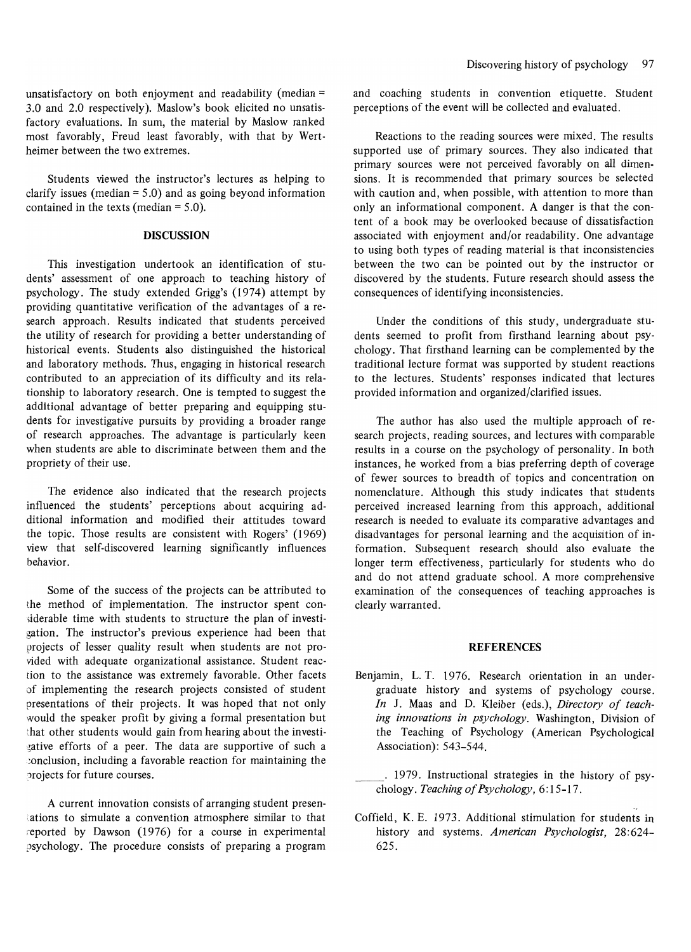unsatisfactory on both enjoyment and readability (median = 3.0 and 2.0 respectively). Maslow's book elicited no unsatisfactory evaluations. In sum, the material by Maslow ranked most favorably, Freud least favorably, with that by Wertheimer between the two extremes.

Students viewed the instructor's lectures as helping to clarify issues (median  $= 5.0$ ) and as going beyond information contained in the texts (median = 5.0).

### **DISCUSSION**

This investigation undertook an identification of students' assessment of one approach to teaching history of psychology. The study extended Grigg's (1974) attempt by providing quantitative verification of the advantages of a research approach. Results indicated that students perceived the utility of research for providing a better understanding of historical events. Students also distinguished the historical and laboratory methods. Thus, engaging in historical research contributed to an appreciation of its difficulty and its relationship to laboratory research. One is tempted to suggest the additional advantage of better preparing and equipping students for investigative pursuits by providing a broader range of research approaches. The advantage is particularly keen when students are able to discriminate between them and the propriety of their use.

The evidence also indicated that the research projects influenced the students' perceptions about acquiring additional information and modified their attitudes toward the topic. Those results are consistent with Rogers' (1969) view that self-discovered learning significantly influences behavior.

Some of the success of the projects can be attributed to the method of implementation. The instructor spent con siderable time with students to structure the plan of investigation. The instructor's previous experience had been that projects of lesser quality result when students are not provided with adequate organizational assistance. Student reaction to the assistance was extremely favorable. Other facets of implementing the research projects consisted of student presentations of their projects. It was hoped that not only would the speaker profit by giving a formal presentation but that other students would gain from hearing about the investi gative efforts of a peer. The data are supportive of such a ;onclusion, including a favorable reaction for maintaining the ?rojects for future courses.

A current innovation consists of arranging student presentations to simulate a convention atmosphere similar to that reported by Dawson (1976) for a course in experimental psychology. The procedure consists of preparing a program and coaching students in convention etiquette. Student perceptions of the event will be collected and evaluated.

Reactions to the reading sources were mixed. The results supported use of primary sources. They also indicated that primary sources were not perceived favorably on all dimensions. It is recommended that primary sources be selected with caution and, when possible, with attention to more than only an informational component. A danger is that the content of a book may be overlooked because of dissatisfaction associated with enjoyment and/or readability. One advantage to using both types of reading material is that inconsistencies between the two can be pointed out by the instructor or discovered by the students. Future research should assess the consequences of identifying inconsistencies.

Under the conditions of this study, undergraduate students seemed to profit from firsthand learning about psychology. That firsthand learning can be complemented by the traditional lecture format was supported by student reactions to the lectures. Students' responses indicated that lectures provided information and organized/clarified issues.

The author has also used the multiple approach of research projects, reading sources, and lectures with comparable results in a course on the psychology of personality. In both instances, he worked from a bias preferring depth of coverage of fewer sources to breadth of topics and concentration on nomenclature. Although this study indicates that students perceived increased learning from this approach, additional research is needed to evaluate its comparative advantages and disadvantages for personal learning and the acquisition of information. Subsequent research should also evaluate the longer term effectiveness, particularly for students who do and do not attend graduate school. A more comprehensive examination of the consequences of teaching approaches is clearly warranted.

### **REFERENCES**

- Benjamin, L. T. 1976. Research orientation in an undergraduate history and systems of psychology course. *In* J. Maas and D. Kleiber (eds.), *Directory of teaching innovations in psychology.* Washington, Division of the Teaching of Psychology (American Psychological Association): 543-544.
- . 1979. Instructional strategies in the history of psychology. *Teaching of Psychology,* 6: 15-17.
- Coffield, K. E. 1973. Additional stimulation for students in history and systems. *American Psychologist, 28:624-* 625.